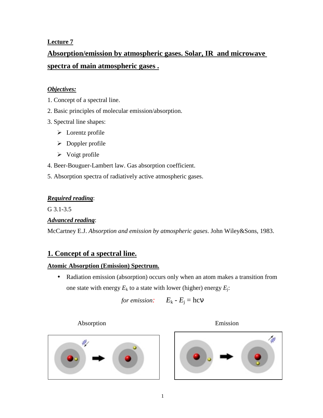## **Lecture 7**

# **Absorption/emission by atmospheric gases. Solar, IR and microwave spectra of main atmospheric gases .**

## *Objectives:*

- 1. Concept of a spectral line.
- 2. Basic principles of molecular emission/absorption.
- 3. Spectral line shapes:
	- $\triangleright$  Lorentz profile
	- $\triangleright$  Doppler profile
	- $\triangleright$  Voigt profile

4. Beer-Bouguer-Lambert law. Gas absorption coefficient.

5. Absorption spectra of radiatively active atmospheric gases.

## *Required reading*:

G 3.1-3.5

## *Advanced reading*:

McCartney E.J. *Absorption and emission by atmospheric gases*. John Wiley&Sons, 1983.

# **1. Concept of a spectral line.**

## **Atomic Absorption (Emission) Spectrum.**

• Radiation emission (absorption) occurs only when an atom makes a transition from one state with energy  $E_k$  to a state with lower (higher) energy  $E_i$ :

for emission: 
$$
E_k - E_j = \text{hcV}
$$

Absorption Emission





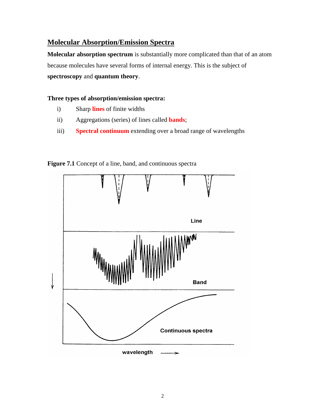## **Molecular Absorption/Emission Spectra**

**Molecular absorption spectrum** is substantially more complicated than that of an atom because molecules have several forms of internal energy. This is the subject of **spectroscopy** and **quantum theory**.

### **Three types of absorption/emission spectra:**

- i) Sharp **lines** of finite widths
- ii) Aggregations (series) of lines called **bands**;
- iii) **Spectral continuum** extending over a broad range of wavelengths



**Figure 7.1** Concept of a line, band, and continuous spectra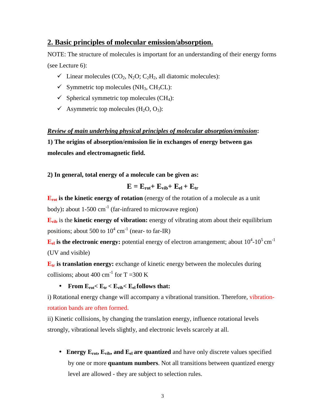### **2. Basic principles of molecular emission/absorption.**

NOTE: The structure of molecules is important for an understanding of their energy forms (see Lecture 6):

- $\checkmark$  Linear molecules (CO<sub>2</sub>, N<sub>2</sub>O; C<sub>2</sub>H<sub>2</sub>, all diatomic molecules):
- $\checkmark$  Symmetric top molecules (NH<sub>3</sub>, CH<sub>3</sub>CL):
- $\checkmark$  Spherical symmetric top molecules (CH<sub>4</sub>):
- $\checkmark$  Asymmetric top molecules (H<sub>2</sub>O, O<sub>3</sub>):

*Review of main underlying physical principles of molecular absorption/emission***:** 

**1) The origins of absorption/emission lie in exchanges of energy between gas molecules and electromagnetic field.** 

**2) In general, total energy of a molecule can be given as:** 

$$
E = E_{rot} + E_{vib} + E_{el} + E_{tr}
$$

**E**<sub>rot</sub> is the kinetic energy of rotation (energy of the rotation of a molecule as a unit body)**:** about 1-500 cm<sup>-1</sup> (far-infrared to microwave region)

**E**<sub>vib</sub> is the **kinetic energy of vibration:** energy of vibrating atom about their equilibrium positions; about 500 to  $10^4$  cm<sup>-1</sup> (near- to far-IR)

 ${\bf E}_{\rm el}$  is the electronic energy: potential energy of electron arrangement; about  $10^4$ - $10^5\,{\rm cm}^{-1}$ (UV and visible)

**E<sub>tr</sub>** is translation energy: exchange of kinetic energy between the molecules during collisions; about 400 cm<sup>-1</sup> for T =300 K

### • **From**  $E_{\text{rot}} < E_{\text{tr}} < E_{\text{vib}} < E_{\text{el}}$  **follows that:**

i) Rotational energy change will accompany a vibrational transition. Therefore, vibrationrotation bands are often formed.

ii) Kinetic collisions, by changing the translation energy, influence rotational levels strongly, vibrational levels slightly, and electronic levels scarcely at all.

• **Energy E<sub>rot</sub>, E<sub>vib</sub>, and E<sub>el</sub> are quantized** and have only discrete values specified by one or more **quantum numbers**. Not all transitions between quantized energy level are allowed - they are subject to selection rules.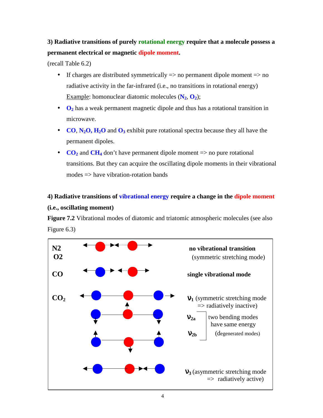# **3) Radiative transitions of purely rotational energy require that a molecule possess a permanent electrical or magnetic dipole moment.**

(recall Table 6.2)

- If charges are distributed symmetrically  $\Rightarrow$  no permanent dipole moment  $\Rightarrow$  no radiative activity in the far-infrared (i.e., no transitions in rotational energy) Example: homonuclear diatomic molecules  $(N_2, 0_2)$ ;
- **O**<sub>2</sub> has a weak permanent magnetic dipole and thus has a rotational transition in microwave.
- **CO**,  $N_2O$ ,  $H_2O$  and  $O_3$  exhibit pure rotational spectra because they all have the permanent dipoles.
- $CO<sub>2</sub>$  and  $CH<sub>4</sub>$  don't have permanent dipole moment  $\Rightarrow$  no pure rotational transitions. But they can acquire the oscillating dipole moments in their vibrational modes  $\Rightarrow$  have vibration-rotation bands

# **4) Radiative transitions of vibrational energy require a change in the dipole moment (i.e., oscillating moment)**

**Figure 7.2** Vibrational modes of diatomic and triatomic atmospheric molecules (see also Figure 6.3)

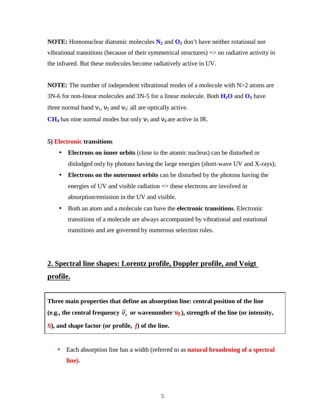**NOTE:** Homonuclear diatomic molecules  $N_2$  and  $O_2$  don't have neither rotational nor vibrational transitions (because of their symmetrical structures) => no radiative activity in the infrared. But these molecules become radiatively active in UV.

**NOTE:** The number of independent vibrational modes of a molecule with  $N>2$  atoms are 3N-6 for non-linear molecules and 3N-5 for a linear molecule. Both  $H_2O$  and  $O_3$  have three normal band  $v_1$ ,  $v_2$  and  $v_3$ : all are optically active.

 $CH<sub>4</sub>$  has nine normal modes but only  $v<sub>3</sub>$  and  $v<sub>4</sub>$  are active in IR.

#### **5) Electronic transitions**

- **Electrons on inner orbits** (close to the atomic nucleus) can be disturbed or dislodged only by photons having the large energies (short-wave UV and X-rays);
- **Electrons on the outermost orbits** can be disturbed by the photons having the energies of UV and visible radiation => these electrons are involved in absorption/emission in the UV and visible.
- Both an atom and a molecule can have the **electronic transitions**. Electronic transitions of a molecule are always accompanied by vibrational and rotational transitions and are governed by numerous selection rules.

# **2. Spectral line shapes: Lorentz profile, Doppler profile, and Voigt profile.**

**Three main properties that define an absorption line: central position of the line**  (e.g., the central frequency  $\tilde{v}_0$  or wavenumber  $\mathbf{v}_0$  ), strength of the line (or intensity, **S), and shape factor (or profile,** *f***) of the line.** 

• Each absorption line has a width (referred to as **natural broadening of a spectral line).**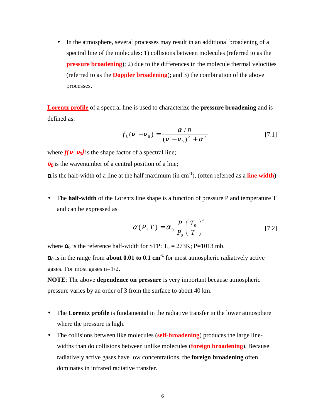• In the atmosphere, several processes may result in an additional broadening of a spectral line of the molecules: 1) collisions between molecules (referred to as the **pressure broadening**); 2) due to the differences in the molecule thermal velocities (referred to as the **Doppler broadening**); and 3) the combination of the above processes.

**Lorentz profile** of a spectral line is used to characterize the **pressure broadening** and is defined as:

$$
f_L(\nu - \nu_0) = \frac{\alpha / \pi}{(\nu - \nu_0)^2 + \alpha^2}
$$
 [7.1]

where  $f(\mathbf{v} \cdot \mathbf{v}_0)$  is the shape factor of a spectral line;

 $v_0$  is the wavenumber of a central position of a line;

 $\alpha$  is the half-width of a line at the half maximum (in cm<sup>-1</sup>), (often referred as a **line width**)

• The **half-width** of the Lorentz line shape is a function of pressure P and temperature T and can be expressed as

$$
\alpha(P,T) = \alpha_0 \frac{P}{P_0} \left(\frac{T_0}{T}\right)^n \tag{7.2}
$$

where  $\alpha_0$  is the reference half-width for STP:  $T_0 = 273K$ ; P=1013 mb.

 $\alpha_0$  is in the range from **about 0.01 to 0.1 cm<sup>-1</sup>** for most atmospheric radiatively active gases. For most gases n=1/2.

**NOTE**: The above **dependence on pressure** is very important because atmospheric pressure varies by an order of 3 from the surface to about 40 km.

- The **Lorentz profile** is fundamental in the radiative transfer in the lower atmosphere where the pressure is high.
- The collisions between like molecules (**self-broadening**) produces the large linewidths than do collisions between unlike molecules (**foreign broadening**). Because radiatively active gases have low concentrations, the **foreign broadening** often dominates in infrared radiative transfer.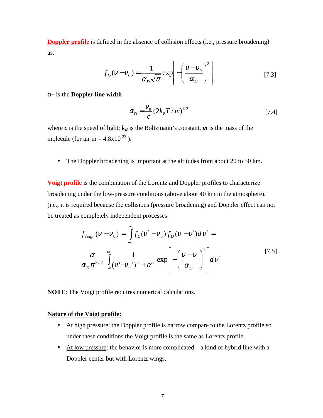**Doppler profile** is defined in the absence of collision effects (i.e., pressure broadening) as:

$$
f_D(\mathbf{V} - \mathbf{V}_0) = \frac{1}{\alpha_D \sqrt{\pi}} \exp\left[-\left(\frac{\mathbf{V} - \mathbf{V}_0}{\alpha_D}\right)^2\right]
$$
 [7.3]

 $\alpha_D$  is the **Doppler line width** 

$$
\alpha_D = \frac{V_0}{c} (2k_B T / m)^{1/2}
$$
 [7.4]

where *c* is the speed of light;  $k_B$  is the Boltzmann's constant, *m* is the mass of the molecule (for air m =  $4.8 \times 10^{-23}$ ).

• The Doppler broadening is important at the altitudes from about 20 to 50 km.

**Voigt profile** is the combination of the Lorentz and Doppler profiles to characterize broadening under the low-pressure conditions (above about 40 km in the atmosphere). (i.e., it is required because the collisions (pressure broadening) and Doppler effect can not be treated as completely independent processes:

$$
f_{\text{Voigt}}(v - v_0) = \int_{-\infty}^{\infty} f_L(v' - v_0) f_D(v - v') dv' =
$$
  

$$
\frac{\alpha}{\alpha_D \pi^{3/2}} \int_{-\infty}^{\infty} \frac{1}{(v' - v_0')^2 + \alpha^2} \exp\left[-\left(\frac{v - v'}{\alpha_D}\right)^2\right] dv'
$$
 [7.5]

**NOTE**: The Voigt profile requires numerical calculations.

#### **Nature of the Voigt profile:**

- At high pressure: the Doppler profile is narrow compare to the Lorentz profile so under these conditions the Voigt profile is the same as Lorentz profile.
- At low pressure: the behavior is more complicated  $-$  a kind of hybrid line with a Doppler center but with Lorentz wings.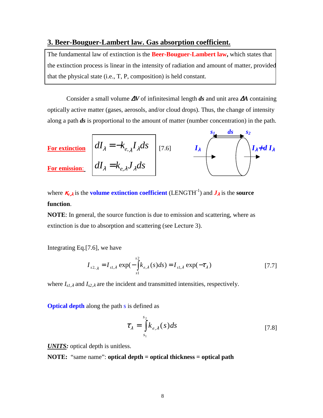### **3. Beer-Bouguer-Lambert law. Gas absorption coefficient.**

The fundamental law of extinction is the **Beer-Bouguer-Lambert law,** which states that the extinction process is linear in the intensity of radiation and amount of matter, provided that the physical state (i.e., T, P, composition) is held constant.

Consider a small volume ∆*V* of infinitesimal length *ds* and unit area ∆*A* containing optically active matter (gases, aerosols, and/or cloud drops). Thus, the change of intensity along a path *ds* is proportional to the amount of matter (number concentration) in the path.



where  $\mathcal{K}_{e,\lambda}$  is the **volume extinction coefficient** (LENGTH<sup>-1</sup>) and  $J_{\lambda}$  is the **source function**.

**NOTE**: In general, the source function is due to emission and scattering, where as extinction is due to absorption and scattering (see Lecture 3).

Integrating Eq.[7.6], we have

$$
I_{s2,\lambda} = I_{s1,\lambda} \exp(-\int_{s1}^{s2} k_{e,\lambda}(s)ds) = I_{s1,\lambda} \exp(-\tau_{\lambda})
$$
 [7.7]

where *Is1,*<sup>λ</sup> and *Is2,*<sup>λ</sup> are the incident and transmitted intensities, respectively.

**Optical depth** along the path s is defined as

$$
\tau_{\lambda} = \int_{s_1}^{s_2} k_{e,\lambda}(s) ds \qquad [7.8]
$$

*UNITS:* optical depth is unitless.

**NOTE:** "same name": **optical depth = optical thickness = optical path**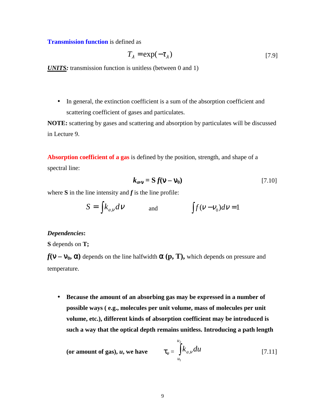**Transmission function** is defined as

$$
T_{\lambda} = \exp(-\tau_{\lambda})
$$
 [7.9]

*UNITS:* transmission function is unitless (between 0 and 1)

• In general, the extinction coefficient is a sum of the absorption coefficient and scattering coefficient of gases and particulates.

**NOTE:** scattering by gases and scattering and absorption by particulates will be discussed in Lecture 9.

**Absorption coefficient of a gas** is defined by the position, strength, and shape of a spectral line:

$$
k_{a\mathbf{v}} = \mathbf{S} f(\mathbf{v} - \mathbf{v}_0) \tag{7.10}
$$

where  $S$  in the line intensity and  $f$  is the line profile:

$$
S = \int k_{a,v} dv
$$
 and 
$$
\int f(v - v_0) dv = 1
$$

#### *Dependencies***:**

**S** depends on **T;** 

 $f(\mathbf{v} - \mathbf{v}_0, \alpha)$  depends on the line halfwidth  $\alpha$  (p, T), which depends on pressure and temperature.

• **Because the amount of an absorbing gas may be expressed in a number of possible ways ( e.g., molecules per unit volume, mass of molecules per unit volume, etc.), different kinds of absorption coefficient may be introduced is such a way that the optical depth remains unitless. Introducing a path length** 

(or amount of gas), *u*, we have 
$$
\tau_{v} = \int_{u_1}^{u_2} k_{a,v} du
$$
 [7.11]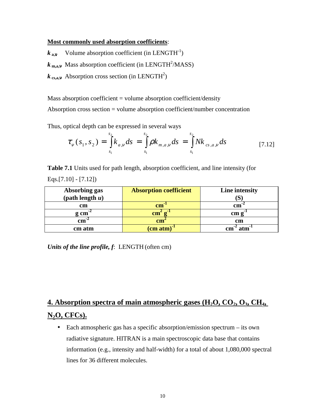#### **Most commonly used absorption coefficients**:

 $k_{av}$  Volume absorption coefficient (in LENGTH<sup>-1</sup>)

 $k_{\text{m,a,v}}$  Mass absorption coefficient (in LENGTH<sup>2</sup>/MASS)

 $k_{cs, a, v}$  Absorption cross section (in LENGTH<sup>2</sup>)

Mass absorption coefficient = volume absorption coefficient/density Absorption cross section = volume absorption coefficient/number concentration

Thus, optical depth can be expressed in several ways

$$
\tau_{v}(s_1, s_2) = \int_{s_1}^{s_2} k_{a,v} ds = \int_{s_1}^{s_2} \rho k_{m,a,v} ds = \int_{s_1}^{s_2} N k_{cs,a,v} ds
$$
 [7.12]

**Table 7.1** Units used for path length, absorption coefficient, and line intensity (for Eqs.[7.10] - [7.12])

| Absorbing gas      | <b>Absorption coefficient</b> | Line intensity      |
|--------------------|-------------------------------|---------------------|
| (path length u)    |                               |                     |
| cm                 | $\mathbf{cm}$                 | cm                  |
| g cm               | $\mathbf{cm}$                 | cm g                |
| $\mathbf{cm}^{-1}$ | cm <sup>2</sup>               | cm                  |
| cm atm             | $\text{(cm atm)}^{-1}$        | $atm$ <sup>-'</sup> |

*Units of the line profile, f*: LENGTH (often cm)

**<u>4. Absorption spectra of main atmospheric gases (H<sub>2</sub>O, CO<sub>2</sub>, O<sub>3</sub>, CH<sub>4</sub>,**</u> **N2O, CFCs).**

• Each atmospheric gas has a specific absorption/emission spectrum – its own radiative signature. HITRAN is a main spectroscopic data base that contains information (e.g., intensity and half-width) for a total of about 1,080,000 spectral lines for 36 different molecules.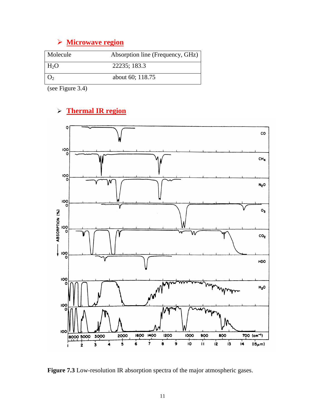# **Microwave region**

| Molecule         | Absorption line (Frequency, GHz) |
|------------------|----------------------------------|
| H <sub>2</sub> O | 22235; 183.3                     |
|                  | about 60; 118.75                 |

(see Figure 3.4)

# **Thermal IR region**



**Figure 7.3** Low-resolution IR absorption spectra of the major atmospheric gases.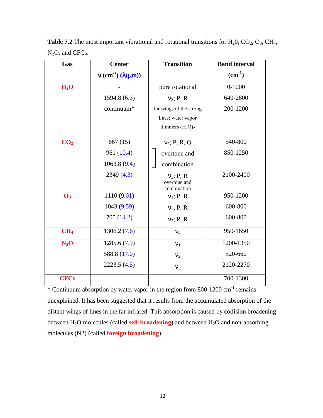| Gas              | <b>Center</b>                                | <b>Transition</b>           | <b>Band interval</b> |
|------------------|----------------------------------------------|-----------------------------|----------------------|
|                  | $v$ (cm <sup>-1</sup> ) ( $\lambda(\mu m)$ ) |                             | $(cm^{-1})$          |
| H <sub>2</sub> O |                                              | pure rotational             | $0 - 1000$           |
|                  | 1594.8(6.3)                                  | $v_2$ ; P, R                | 640-2800             |
|                  | continuum*                                   | far wings of the strong     | 200-1200             |
|                  |                                              | lines; water vapor          |                      |
|                  |                                              | dimmers $(H_2O)_2$          |                      |
| CO <sub>2</sub>  | 667(15)                                      | $v_2$ ; P, R, Q             | 540-800              |
|                  | 961 (10.4)                                   | overtone and                | 850-1250             |
|                  | 1063.8(9.4)                                  | combination                 |                      |
|                  | 2349(4.3)                                    | $v_3$ ; P, R                | 2100-2400            |
|                  |                                              | overtone and<br>combination |                      |
| $\mathbf{O}_3$   | 1110(9.01)                                   | $v_1$ ; P, R                | 950-1200             |
|                  | 1043 (9.59)                                  | $v_3$ ; P, R                | 600-800              |
|                  | 705 (14.2)                                   | $v_2$ ; P, R                | 600-800              |
| CH <sub>4</sub>  | 1306.2(7.6)                                  | $V_4$                       | 950-1650             |
| $N_2O$           | 1285.6(7.9)                                  | v <sub>1</sub>              | 1200-1350            |
|                  | 588.8 (17.0)                                 | $v_2$                       | 520-660              |
|                  | 2223.5(4.5)                                  | $V_3$                       | 2120-2270            |
| <b>CFCs</b>      |                                              |                             | 700-1300             |

**Table 7.2** The most important vibrational and rotational transitions for  $H_2O$ ,  $CO_2$ ,  $O_3$ ,  $CH_4$ , N<sub>2</sub>O, and CFCs.

\* Continuum absorption by water vapor in the region from 800-1200 cm-1 remains unexplained. It has been suggested that it results from the accumulated absorption of the distant wings of lines in the far infrared. This absorption is caused by collision broadening between H<sub>2</sub>O molecules (called **self-broadening**) and between H<sub>2</sub>O and non-absorbing molecules (N2) (called **foreign broadening**).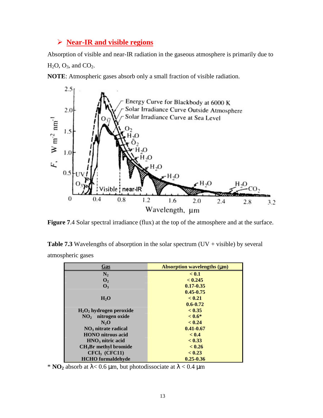## **Near-IR and visible regions**

Absorption of visible and near-IR radiation in the gaseous atmosphere is primarily due to  $H<sub>2</sub>O$ ,  $O<sub>3</sub>$ , and  $CO<sub>2</sub>$ .

**NOTE**: Atmospheric gases absorb only a small fraction of visible radiation.



Figure 7.4 Solar spectral irradiance (flux) at the top of the atmosphere and at the surface.

**Table 7.3** Wavelengths of absorption in the solar spectrum  $(UV + visible)$  by several atmospheric gases

| <u>Gas</u>                 | <b>Absorption wavelengths (µm)</b> |  |
|----------------------------|------------------------------------|--|
| $N_2$                      | < 0.1                              |  |
| $\mathbf{O}_2$             | < 0.245                            |  |
| $\mathbf{O}_3$             | $0.17 - 0.35$                      |  |
|                            | $0.45 - 0.75$                      |  |
| $H_2O$                     | < 0.21                             |  |
|                            | $0.6 - 0.72$                       |  |
| $H_2O_2$ hydrogen peroxide | < 0.35                             |  |
| $NO2$ nitrogen oxide       | $< 0.6*$                           |  |
| N <sub>2</sub> O           | < 0.24                             |  |
| $NO3$ nitrate radical      | $0.41 - 0.67$                      |  |
| <b>HONO</b> nitrous acid   | < 0.4                              |  |
| $HNO3$ nitric acid         | < 0.33                             |  |
| $CH3Br$ methyl bromide     | < 0.26                             |  |
| CFCI <sub>3</sub> (CFC11)  | < 0.23                             |  |
| <b>HCHO</b> formaldehyde   | $0.25 - 0.36$                      |  |

<sup>\*</sup> **NO**<sub>2</sub> absorb at  $\lambda$  < 0.6 µm, but photodissociate at  $\lambda$  < 0.4 µm